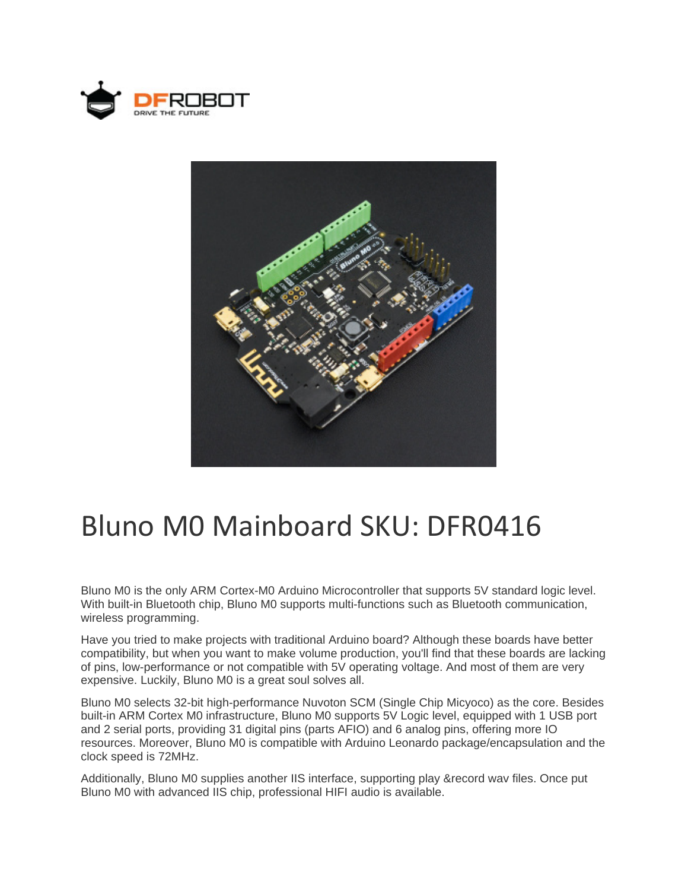



# Bluno M0 Mainboard SKU: DFR0416

Bluno M0 is the only ARM Cortex-M0 Arduino Microcontroller that supports 5V standard logic level. With built-in Bluetooth chip, Bluno M0 supports multi-functions such as Bluetooth communication, wireless programming.

Have you tried to make projects with traditional Arduino board? Although these boards have better compatibility, but when you want to make volume production, you'll find that these boards are lacking of pins, low-performance or not compatible with 5V operating voltage. And most of them are very expensive. Luckily, Bluno M0 is a great soul solves all.

Bluno M0 selects 32-bit high-performance Nuvoton SCM (Single Chip Micyoco) as the core. Besides built-in ARM Cortex M0 infrastructure, Bluno M0 supports 5V Logic level, equipped with 1 USB port and 2 serial ports, providing 31 digital pins (parts AFIO) and 6 analog pins, offering more IO resources. Moreover, Bluno M0 is compatible with Arduino Leonardo package/encapsulation and the clock speed is 72MHz.

Additionally, Bluno M0 supplies another IIS interface, supporting play &record wav files. Once put Bluno M0 with advanced IIS chip, professional HIFI audio is available.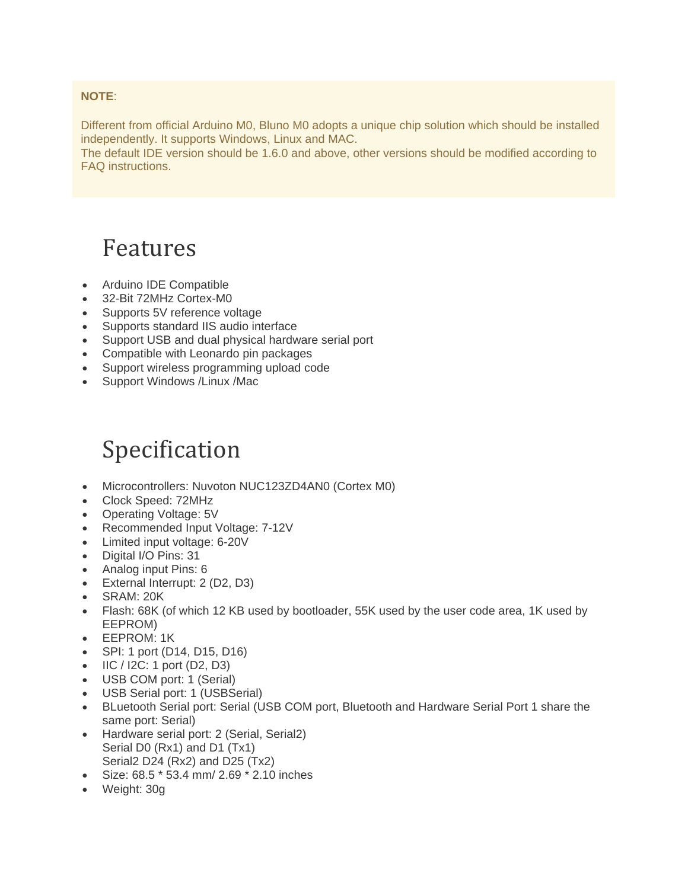#### **NOTE**:

Different from official Arduino M0, Bluno M0 adopts a unique chip solution which should be installed independently. It supports Windows, Linux and MAC.

The default IDE version should be 1.6.0 and above, other versions should be modified according to FAQ instructions.

### Features

- Arduino IDE Compatible
- 32-Bit 72MHz Cortex-M0
- Supports 5V reference voltage
- Supports standard IIS audio interface
- Support USB and dual physical hardware serial port
- Compatible with Leonardo pin packages
- Support wireless programming upload code
- Support Windows / Linux / Mac

### Specification

- Microcontrollers: Nuvoton NUC123ZD4AN0 (Cortex M0)
- Clock Speed: 72MHz
- Operating Voltage: 5V
- Recommended Input Voltage: 7-12V
- Limited input voltage: 6-20V
- Digital I/O Pins: 31
- Analog input Pins: 6
- External Interrupt: 2 (D2, D3)
- SRAM: 20K
- Flash: 68K (of which 12 KB used by bootloader, 55K used by the user code area, 1K used by EEPROM)
- EEPROM: 1K
- SPI: 1 port (D14, D15, D16)
- $\bullet$  IIC / I2C: 1 port (D2, D3)
- USB COM port: 1 (Serial)
- USB Serial port: 1 (USBSerial)
- BLuetooth Serial port: Serial (USB COM port, Bluetooth and Hardware Serial Port 1 share the same port: Serial)
- Hardware serial port: 2 (Serial, Serial2) Serial D0 (Rx1) and D1 (Tx1) Serial2 D24 (Rx2) and D25 (Tx2)
- Size: 68.5 \* 53.4 mm/ 2.69 \* 2.10 inches
- Weight: 30g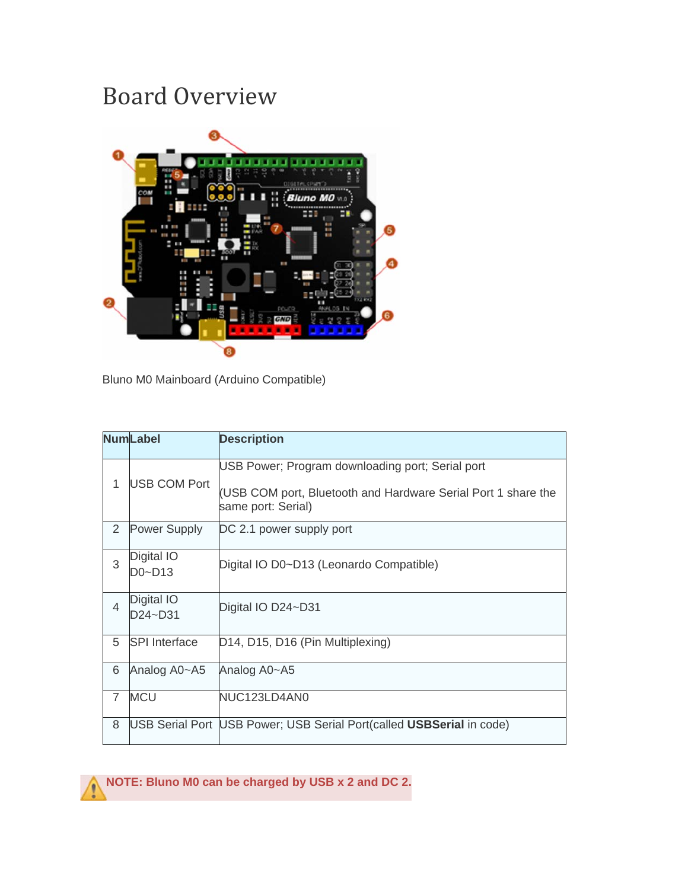### Board Overview



Bluno M0 Mainboard (Arduino Compatible)

|                | <b>NumLabel</b>       | <b>Description</b>                                                                                                                      |
|----------------|-----------------------|-----------------------------------------------------------------------------------------------------------------------------------------|
| 1              | <b>USB COM Port</b>   | USB Power; Program downloading port; Serial port<br>(USB COM port, Bluetooth and Hardware Serial Port 1 share the<br>same port: Serial) |
| 2              | <b>Power Supply</b>   | DC 2.1 power supply port                                                                                                                |
| 3              | Digital IO<br>D0~D13  | Digital IO D0~D13 (Leonardo Compatible)                                                                                                 |
| $\overline{4}$ | Digital IO<br>D24~D31 | Digital IO D24~D31                                                                                                                      |
| 5              | <b>SPI</b> Interface  | D14, D15, D16 (Pin Multiplexing)                                                                                                        |
| 6              | Analog A0~A5          | Analog A0~A5                                                                                                                            |
| $\overline{7}$ | <b>MCU</b>            | NUC123LD4AN0                                                                                                                            |
| 8              |                       | USB Serial Port USB Power; USB Serial Port(called USBSerial in code)                                                                    |

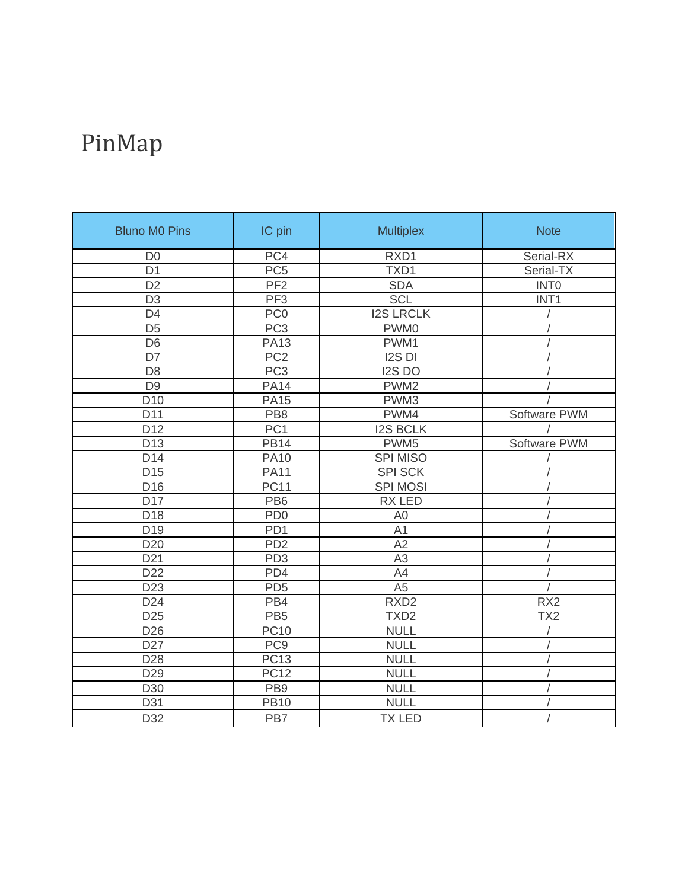# PinMap

| <b>Bluno M0 Pins</b> | IC pin          | <b>Multiplex</b> | <b>Note</b>      |
|----------------------|-----------------|------------------|------------------|
| D <sub>0</sub>       | PC4             | RXD1             | Serial-RX        |
| D <sub>1</sub>       | PC <sub>5</sub> | TXD1             | Serial-TX        |
| D <sub>2</sub>       | PF <sub>2</sub> | <b>SDA</b>       | <b>INTO</b>      |
| D <sub>3</sub>       | PF <sub>3</sub> | <b>SCL</b>       | INT <sub>1</sub> |
| D <sub>4</sub>       | PC <sub>0</sub> | <b>I2S LRCLK</b> |                  |
| $\overline{D5}$      | PC <sub>3</sub> | PWM0             |                  |
| D <sub>6</sub>       | <b>PA13</b>     | PWM1             |                  |
| D7                   | PC <sub>2</sub> | I2S DI           |                  |
| D <sub>8</sub>       | PC <sub>3</sub> | I2S DO           |                  |
| D <sub>9</sub>       | <b>PA14</b>     | PWM <sub>2</sub> |                  |
| D <sub>10</sub>      | <b>PA15</b>     | PWM3             |                  |
| D11                  | PB <sub>8</sub> | PWM4             | Software PWM     |
| D <sub>12</sub>      | PC <sub>1</sub> | <b>I2S BCLK</b>  |                  |
| D <sub>13</sub>      | <b>PB14</b>     | PWM <sub>5</sub> | Software PWM     |
| D14                  | <b>PA10</b>     | <b>SPI MISO</b>  |                  |
| D <sub>15</sub>      | <b>PA11</b>     | <b>SPI SCK</b>   |                  |
| D <sub>16</sub>      | <b>PC11</b>     | <b>SPI MOSI</b>  |                  |
| D17                  | PB <sub>6</sub> | <b>RX LED</b>    |                  |
| D18                  | PD <sub>0</sub> | A <sub>0</sub>   |                  |
| D <sub>19</sub>      | PD <sub>1</sub> | A1               |                  |
| D <sub>20</sub>      | PD <sub>2</sub> | A2               |                  |
| D <sub>21</sub>      | PD <sub>3</sub> | A3               |                  |
| D <sub>22</sub>      | PD4             | A4               |                  |
| D <sub>23</sub>      | PD <sub>5</sub> | A <sub>5</sub>   |                  |
| D <sub>24</sub>      | PB4             | RXD <sub>2</sub> | RX <sub>2</sub>  |
| D <sub>25</sub>      | PB <sub>5</sub> | TXD <sub>2</sub> | TX <sub>2</sub>  |
| D <sub>26</sub>      | <b>PC10</b>     | <b>NULL</b>      |                  |
| D <sub>27</sub>      | PC <sub>9</sub> | <b>NULL</b>      |                  |
| D <sub>28</sub>      | <b>PC13</b>     | <b>NULL</b>      |                  |
| D <sub>29</sub>      | <b>PC12</b>     | <b>NULL</b>      |                  |
| D30                  | PB <sub>9</sub> | <b>NULL</b>      |                  |
| D31                  | <b>PB10</b>     | <b>NULL</b>      |                  |
| D32                  | PB7             | <b>TX LED</b>    |                  |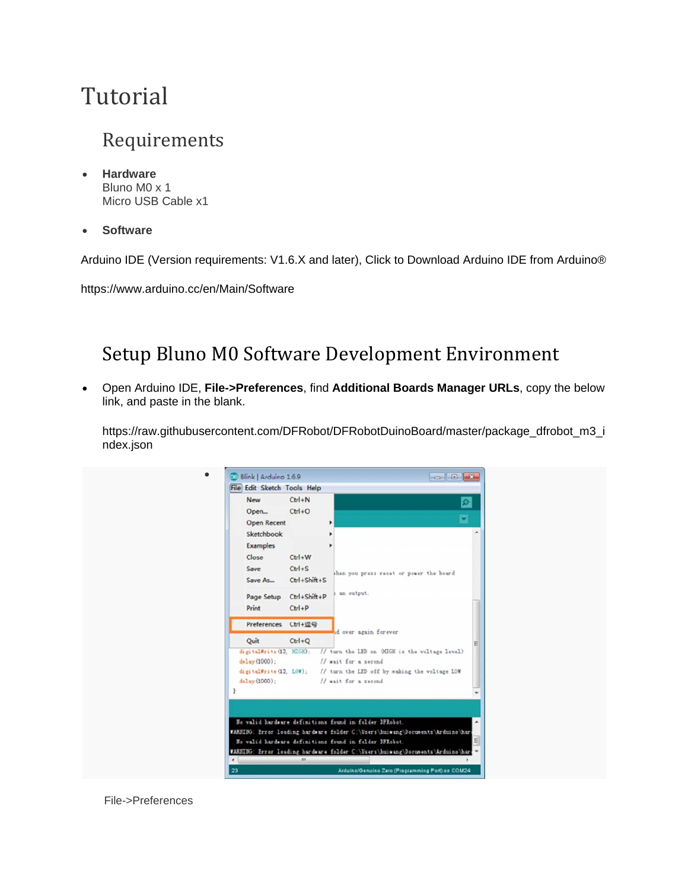## Tutorial

#### Requirements

- **Hardware** Bluno M0 x 1 Micro USB Cable x1
- **Software**

Arduino IDE (Version requirements: V1.6.X and later), Click to Download Arduino IDE from Arduino®

https://www.arduino.cc/en/Main/Software

### Setup Bluno M0 Software Development Environment

 Open Arduino IDE, **File->Preferences**, find **Additional Boards Manager URLs**, copy the below link, and paste in the blank.

https://raw.githubusercontent.com/DFRobot/DFRobotDuinoBoard/master/package\_dfrobot\_m3\_i ndex.json



File->Preferences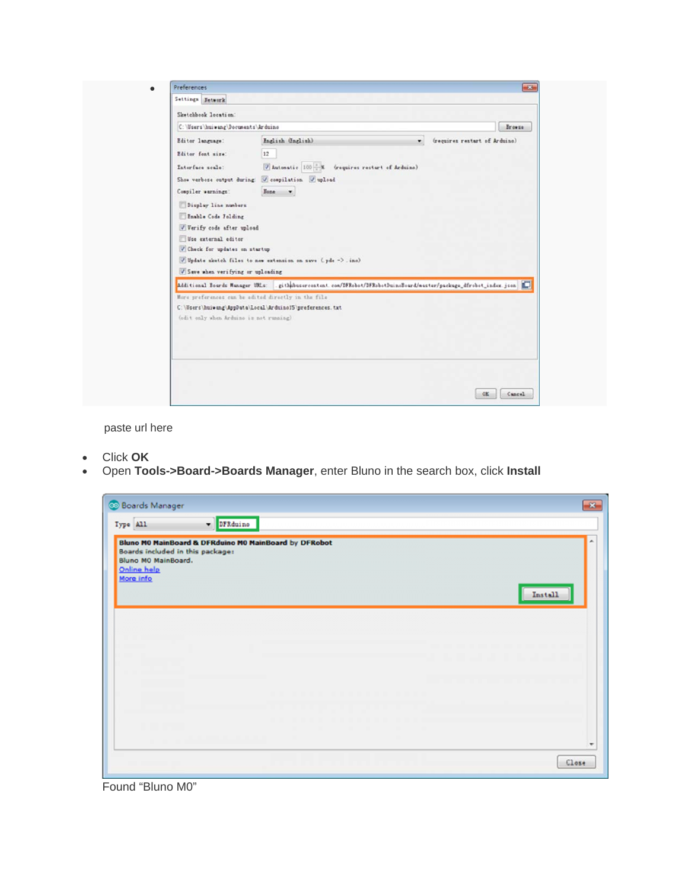| Sketchbook location:<br>C:\Users\huiwang\Documents\Arduino<br>Browse<br>Inglish (Inglish)<br>(requires restart of Arduino)<br>Editor Inngunge:<br>12<br>Editor font size:<br>Automatic 100 % (requires restart of Arduine)<br>Interface scale:<br>Show verbose output during: V compilation V upload<br>Compiler warnings:<br>Bone v<br>Display line numbers<br>Enable Code Folding<br>Verify code after upload<br>Use external editor<br>Check for updates on startup<br>V Update sketch files to new extension on save (pde -> . inc)<br>Save when verifying or uploading |
|-----------------------------------------------------------------------------------------------------------------------------------------------------------------------------------------------------------------------------------------------------------------------------------------------------------------------------------------------------------------------------------------------------------------------------------------------------------------------------------------------------------------------------------------------------------------------------|
|                                                                                                                                                                                                                                                                                                                                                                                                                                                                                                                                                                             |
|                                                                                                                                                                                                                                                                                                                                                                                                                                                                                                                                                                             |
| Additional Bourds Manager UMLs: . githhbusercontent.com/DFRobot/DFRobotDuinoBoard/waster/package_dfrobot_index.json                                                                                                                                                                                                                                                                                                                                                                                                                                                         |

paste url here

- Click **OK**
- Open **Tools->Board->Boards Manager**, enter Bluno in the search box, click **Install**

| <b>Boards Manager</b><br><b>DFRduine</b><br>Type All                                                                                         | $\overline{\mathbf{x}}$ |
|----------------------------------------------------------------------------------------------------------------------------------------------|-------------------------|
| Bluno MO MainBoard & DFRduino MO MainBoard by DFRobot<br>Boards included in this package:<br>Bluno MO MainBoard.<br>Online help<br>More info | ۸<br>Install            |
|                                                                                                                                              |                         |
|                                                                                                                                              |                         |
|                                                                                                                                              | ۰<br>Close              |

Found "Bluno M0"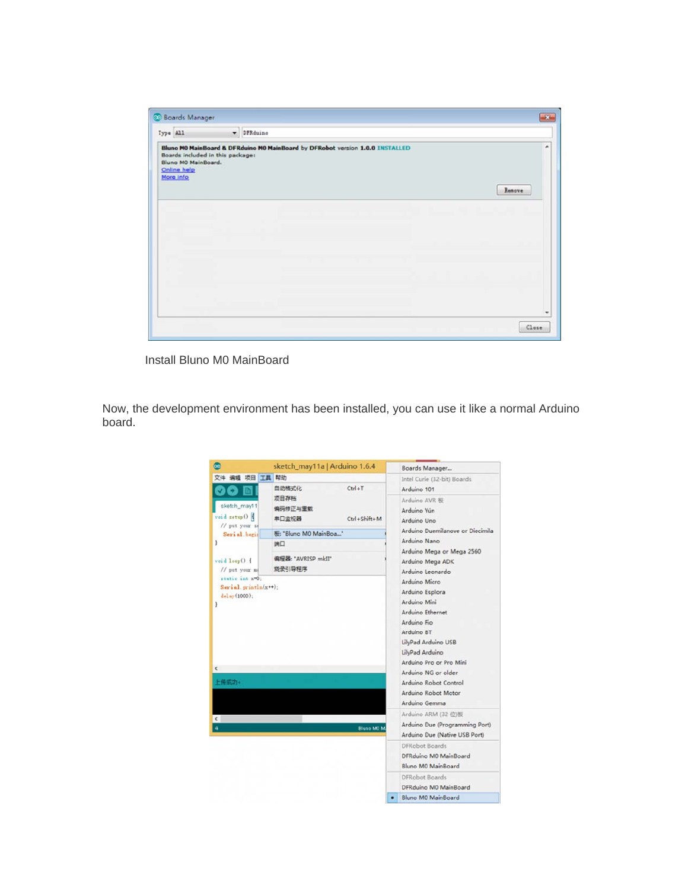| Type All                                                                            | - DFRduine |                                                                               |             |
|-------------------------------------------------------------------------------------|------------|-------------------------------------------------------------------------------|-------------|
| Boards included in this package:<br>Bluno MO MainBoard.<br>Online help<br>More info |            | Bluno MO MainBoard & DFRduino MO MainBoard by DFRobot version 1.0.0 INSTALLED | ٠<br>Renove |
|                                                                                     |            |                                                                               |             |
|                                                                                     |            |                                                                               |             |
|                                                                                     |            |                                                                               |             |
|                                                                                     |            |                                                                               |             |
|                                                                                     |            |                                                                               |             |
|                                                                                     |            |                                                                               |             |
|                                                                                     |            |                                                                               |             |

Install Bluno M0 MainBoard

Now, the development environment has been installed, you can use it like a normal Arduino board.

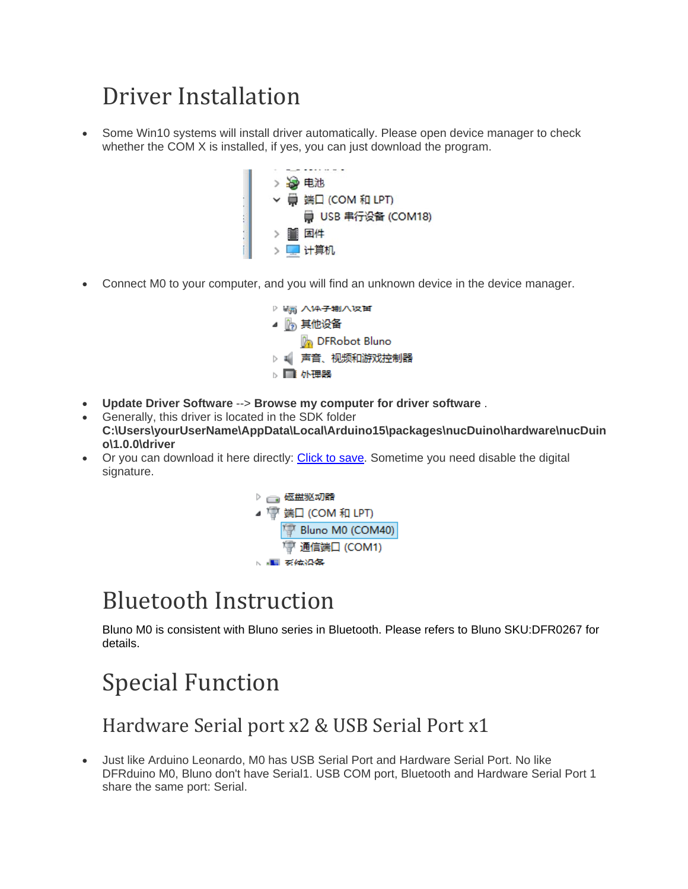## Driver Installation

 Some Win10 systems will install driver automatically. Please open device manager to check whether the COM X is installed, if yes, you can just download the program.



Connect M0 to your computer, and you will find an unknown device in the device manager.



- **Update Driver Software** --> **Browse my computer for driver software** .
- Generally, this driver is located in the SDK folder **C:\Users\yourUserName\AppData\Local\Arduino15\packages\nucDuino\hardware\nucDuin o\1.0.0\driver**
- Or you can download it here directly: Click to save. Sometime you need disable the digital signature.



### **Bluetooth Instruction**

Bluno M0 is consistent with Bluno series in Bluetooth. Please refers to Bluno SKU:DFR0267 for details.

### **Special Function**

### Hardware Serial port x2 & USB Serial Port x1

 Just like Arduino Leonardo, M0 has USB Serial Port and Hardware Serial Port. No like DFRduino M0, Bluno don't have Serial1. USB COM port, Bluetooth and Hardware Serial Port 1 share the same port: Serial.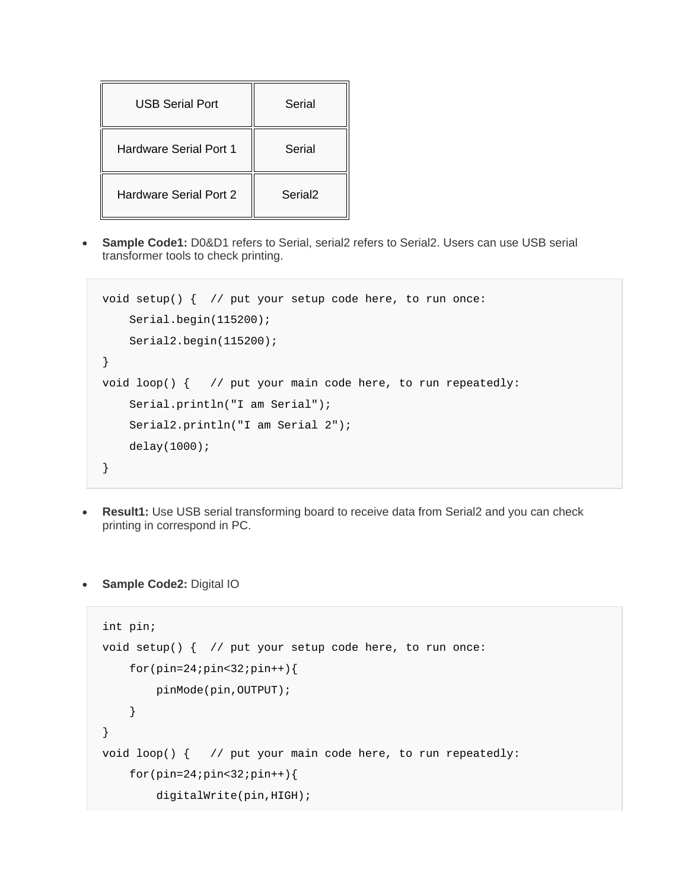| USB Serial Port               | Serial              |  |
|-------------------------------|---------------------|--|
| Hardware Serial Port 1        | Serial              |  |
| <b>Hardware Serial Port 2</b> | Serial <sub>2</sub> |  |

**Sample Code1:** D0&D1 refers to Serial, serial2 refers to Serial2. Users can use USB serial transformer tools to check printing.

```
void setup() { // put your setup code here, to run once: 
     Serial.begin(115200); 
     Serial2.begin(115200); 
} 
void loop() { // put your main code here, to run repeatedly: 
     Serial.println("I am Serial"); 
     Serial2.println("I am Serial 2"); 
     delay(1000); 
}
```
- **Result1:** Use USB serial transforming board to receive data from Serial2 and you can check printing in correspond in PC.
- **Sample Code2:** Digital IO

```
int pin; 
void setup() { // put your setup code here, to run once: 
    for(pin=24:pin<32:pin++) pinMode(pin,OUTPUT); 
     } 
} 
void loop() { // put your main code here, to run repeatedly: 
    for(pin=24;pin<32;pin++) digitalWrite(pin,HIGH);
```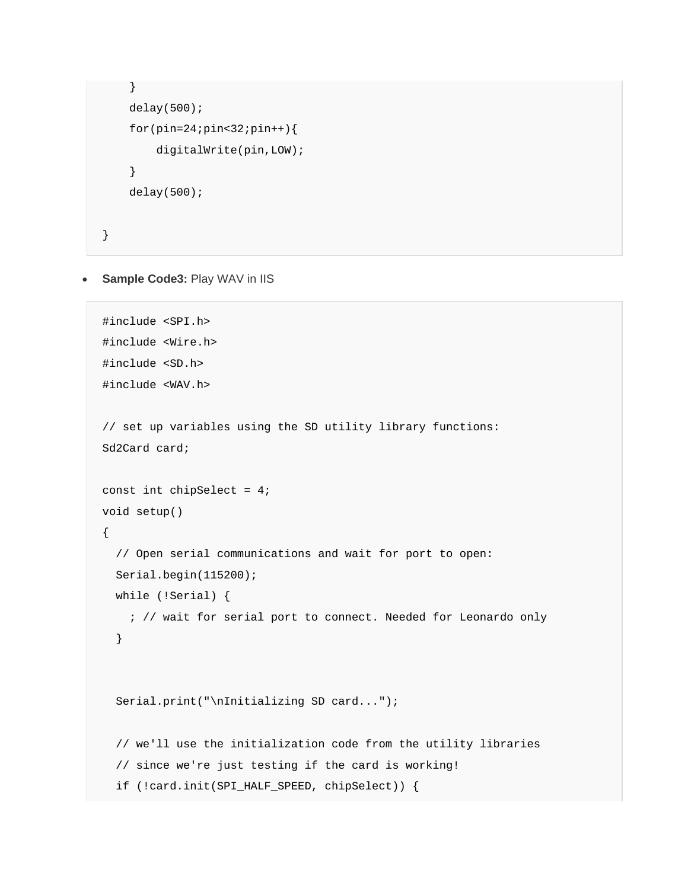```
 } 
    delay(500);
     for(pin=24;pin<32;pin++){ 
         digitalWrite(pin,LOW); 
     } 
    delay(500);}
```
#### **Sample Code3:** Play WAV in IIS

```
#include <SPI.h> 
#include <Wire.h> 
#include <SD.h> 
#include <WAV.h> 
// set up variables using the SD utility library functions: 
Sd2Card card; 
const int chipSelect = 4; 
void setup() 
{ 
   // Open serial communications and wait for port to open: 
   Serial.begin(115200); 
   while (!Serial) { 
    ; // wait for serial port to connect. Needed for Leonardo only 
   } 
   Serial.print("\nInitializing SD card..."); 
   // we'll use the initialization code from the utility libraries 
   // since we're just testing if the card is working! 
   if (!card.init(SPI_HALF_SPEED, chipSelect)) {
```